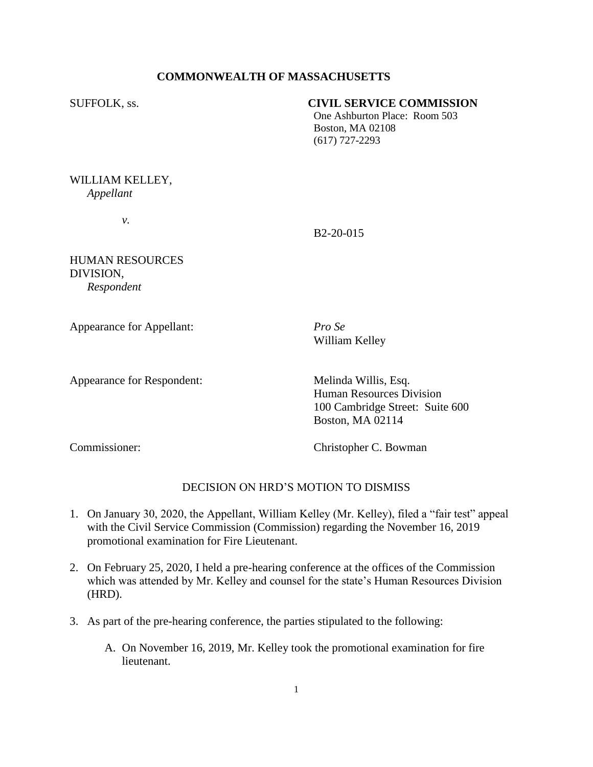# **COMMONWEALTH OF MASSACHUSETTS**

# SUFFOLK, ss. **CIVIL SERVICE COMMISSION**

One Ashburton Place: Room 503 Boston, MA 02108 (617) 727-2293

# WILLIAM KELLEY, *Appellant*

*v.*

B2-20-015

HUMAN RESOURCES DIVISION, *Respondent* 

Appearance for Appellant: *Pro Se*

William Kelley

Appearance for Respondent: Melinda Willis, Esq.

Human Resources Division 100 Cambridge Street: Suite 600 Boston, MA 02114

Commissioner: Christopher C. Bowman

# DECISION ON HRD'S MOTION TO DISMISS

- 1. On January 30, 2020, the Appellant, William Kelley (Mr. Kelley), filed a "fair test" appeal with the Civil Service Commission (Commission) regarding the November 16, 2019 promotional examination for Fire Lieutenant.
- 2. On February 25, 2020, I held a pre-hearing conference at the offices of the Commission which was attended by Mr. Kelley and counsel for the state's Human Resources Division (HRD).
- 3. As part of the pre-hearing conference, the parties stipulated to the following:
	- A. On November 16, 2019, Mr. Kelley took the promotional examination for fire lieutenant.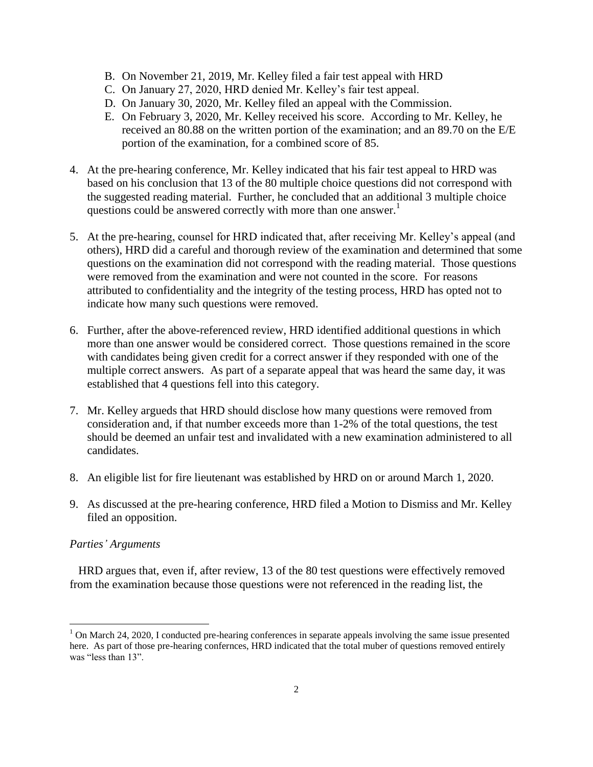- B. On November 21, 2019, Mr. Kelley filed a fair test appeal with HRD
- C. On January 27, 2020, HRD denied Mr. Kelley's fair test appeal.
- D. On January 30, 2020, Mr. Kelley filed an appeal with the Commission.
- E. On February 3, 2020, Mr. Kelley received his score. According to Mr. Kelley, he received an 80.88 on the written portion of the examination; and an 89.70 on the E/E portion of the examination, for a combined score of 85.
- 4. At the pre-hearing conference, Mr. Kelley indicated that his fair test appeal to HRD was based on his conclusion that 13 of the 80 multiple choice questions did not correspond with the suggested reading material. Further, he concluded that an additional 3 multiple choice questions could be answered correctly with more than one answer.<sup>1</sup>
- 5. At the pre-hearing, counsel for HRD indicated that, after receiving Mr. Kelley's appeal (and others), HRD did a careful and thorough review of the examination and determined that some questions on the examination did not correspond with the reading material. Those questions were removed from the examination and were not counted in the score. For reasons attributed to confidentiality and the integrity of the testing process, HRD has opted not to indicate how many such questions were removed.
- 6. Further, after the above-referenced review, HRD identified additional questions in which more than one answer would be considered correct. Those questions remained in the score with candidates being given credit for a correct answer if they responded with one of the multiple correct answers. As part of a separate appeal that was heard the same day, it was established that 4 questions fell into this category.
- 7. Mr. Kelley argueds that HRD should disclose how many questions were removed from consideration and, if that number exceeds more than 1-2% of the total questions, the test should be deemed an unfair test and invalidated with a new examination administered to all candidates.
- 8. An eligible list for fire lieutenant was established by HRD on or around March 1, 2020.
- 9. As discussed at the pre-hearing conference, HRD filed a Motion to Dismiss and Mr. Kelley filed an opposition.

### *Parties' Arguments*

 $\overline{a}$ 

 HRD argues that, even if, after review, 13 of the 80 test questions were effectively removed from the examination because those questions were not referenced in the reading list, the

<sup>&</sup>lt;sup>1</sup> On March 24, 2020, I conducted pre-hearing conferences in separate appeals involving the same issue presented here. As part of those pre-hearing confernces, HRD indicated that the total muber of questions removed entirely was "less than 13".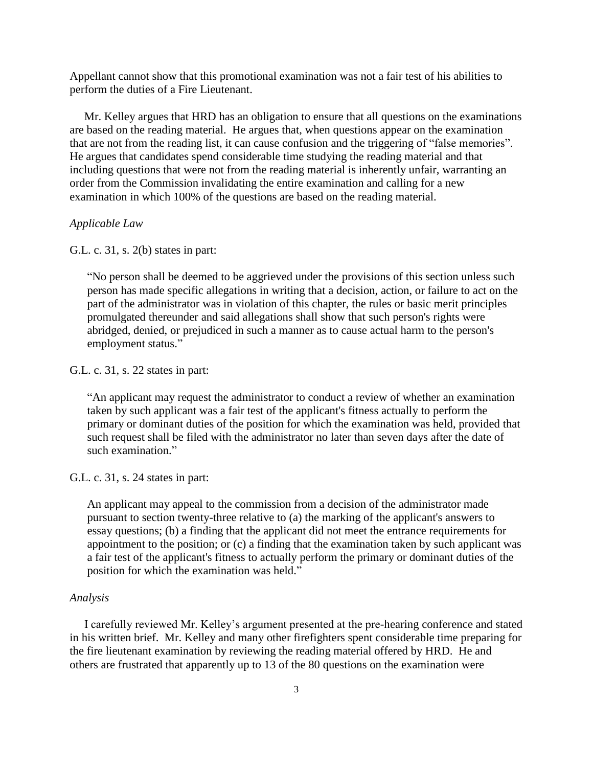Appellant cannot show that this promotional examination was not a fair test of his abilities to perform the duties of a Fire Lieutenant.

 Mr. Kelley argues that HRD has an obligation to ensure that all questions on the examinations are based on the reading material. He argues that, when questions appear on the examination that are not from the reading list, it can cause confusion and the triggering of "false memories". He argues that candidates spend considerable time studying the reading material and that including questions that were not from the reading material is inherently unfair, warranting an order from the Commission invalidating the entire examination and calling for a new examination in which 100% of the questions are based on the reading material.

### *Applicable Law*

G.L. c. 31, s. 2(b) states in part:

"No person shall be deemed to be aggrieved under the provisions of this section unless such person has made specific allegations in writing that a decision, action, or failure to act on the part of the administrator was in violation of this chapter, the rules or basic merit principles promulgated thereunder and said allegations shall show that such person's rights were abridged, denied, or prejudiced in such a manner as to cause actual harm to the person's employment status."

#### G.L. c. 31, s. 22 states in part:

"An applicant may request the administrator to conduct a review of whether an examination taken by such applicant was a fair test of the applicant's fitness actually to perform the primary or dominant duties of the position for which the examination was held, provided that such request shall be filed with the administrator no later than seven days after the date of such examination."

G.L. c. 31, s. 24 states in part:

An applicant may appeal to the commission from a decision of the administrator made pursuant to section twenty-three relative to (a) the marking of the applicant's answers to essay questions; (b) a finding that the applicant did not meet the entrance requirements for appointment to the position; or (c) a finding that the examination taken by such applicant was a fair test of the applicant's fitness to actually perform the primary or dominant duties of the position for which the examination was held."

#### *Analysis*

 I carefully reviewed Mr. Kelley's argument presented at the pre-hearing conference and stated in his written brief. Mr. Kelley and many other firefighters spent considerable time preparing for the fire lieutenant examination by reviewing the reading material offered by HRD. He and others are frustrated that apparently up to 13 of the 80 questions on the examination were